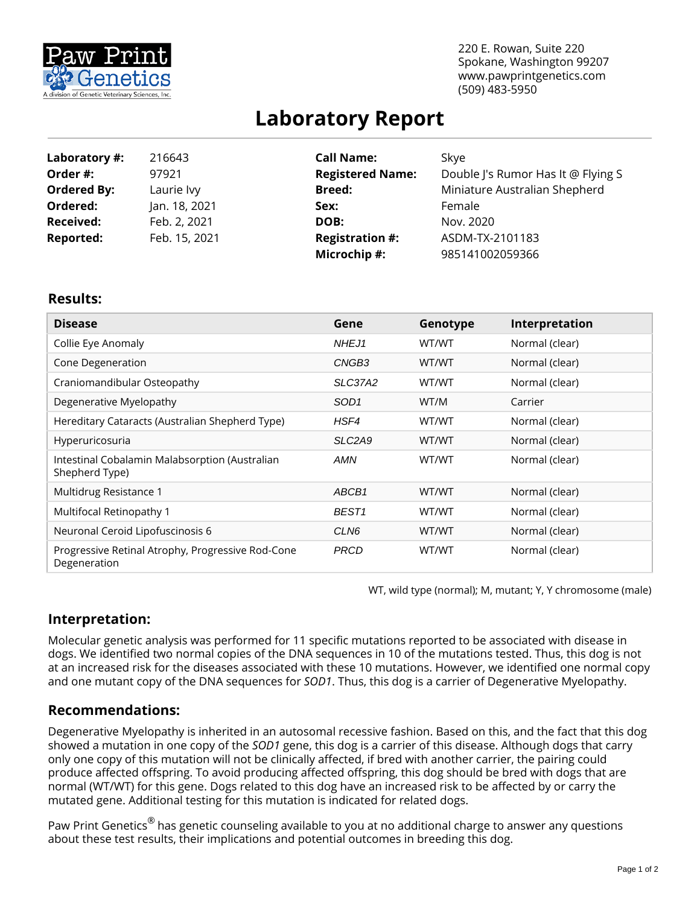

220 E. Rowan, Suite 220 Spokane, Washington 99207 www.pawprintgenetics.com (509) 483-5950

# **Laboratory Report**

| Laboratory #:      | 216643        | <b>Call Name:</b>       | Skye                               |  |  |
|--------------------|---------------|-------------------------|------------------------------------|--|--|
| Order #:           | 97921         | <b>Registered Name:</b> | Double J's Rumor Has It @ Flying S |  |  |
| <b>Ordered By:</b> | Laurie lvy    | <b>Breed:</b>           | Miniature Australian Shepherd      |  |  |
| Ordered:           | Jan. 18, 2021 | Sex:                    | Female                             |  |  |
| <b>Received:</b>   | Feb. 2, 2021  | DOB:                    | Nov. 2020                          |  |  |
| <b>Reported:</b>   | Feb. 15, 2021 | <b>Registration #:</b>  | ASDM-TX-2101183                    |  |  |
|                    |               | Microchip #:            | 985141002059366                    |  |  |

#### **Results:**

| <b>Disease</b>                                                    | Gene                            | Genotype | Interpretation |
|-------------------------------------------------------------------|---------------------------------|----------|----------------|
| Collie Eye Anomaly                                                | NHEJ1                           | WT/WT    | Normal (clear) |
| Cone Degeneration                                                 | CNGB <sub>3</sub>               | WT/WT    | Normal (clear) |
| Craniomandibular Osteopathy                                       | SLC37A2                         | WT/WT    | Normal (clear) |
| Degenerative Myelopathy                                           | SOD <sub>1</sub>                | WT/M     | Carrier        |
| Hereditary Cataracts (Australian Shepherd Type)                   | HSF4                            | WT/WT    | Normal (clear) |
| Hyperuricosuria                                                   | SLC <sub>2</sub> A <sub>9</sub> | WT/WT    | Normal (clear) |
| Intestinal Cobalamin Malabsorption (Australian<br>Shepherd Type)  | AMN                             | WT/WT    | Normal (clear) |
| Multidrug Resistance 1                                            | ABCB1                           | WT/WT    | Normal (clear) |
| Multifocal Retinopathy 1                                          | BEST <sub>1</sub>               | WT/WT    | Normal (clear) |
| Neuronal Ceroid Lipofuscinosis 6                                  | CLN6                            | WT/WT    | Normal (clear) |
| Progressive Retinal Atrophy, Progressive Rod-Cone<br>Degeneration | <b>PRCD</b>                     | WT/WT    | Normal (clear) |

WT, wild type (normal); M, mutant; Y, Y chromosome (male)

## **Interpretation:**

Molecular genetic analysis was performed for 11 specific mutations reported to be associated with disease in dogs. We identified two normal copies of the DNA sequences in 10 of the mutations tested. Thus, this dog is not at an increased risk for the diseases associated with these 10 mutations. However, we identified one normal copy and one mutant copy of the DNA sequences for *SOD1*. Thus, this dog is a carrier of Degenerative Myelopathy.

### **Recommendations:**

Degenerative Myelopathy is inherited in an autosomal recessive fashion. Based on this, and the fact that this dog showed a mutation in one copy of the *SOD1* gene, this dog is a carrier of this disease. Although dogs that carry only one copy of this mutation will not be clinically affected, if bred with another carrier, the pairing could produce affected offspring. To avoid producing affected offspring, this dog should be bred with dogs that are normal (WT/WT) for this gene. Dogs related to this dog have an increased risk to be affected by or carry the mutated gene. Additional testing for this mutation is indicated for related dogs.

Paw Print Genetics<sup>®</sup> has genetic counseling available to you at no additional charge to answer any questions about these test results, their implications and potential outcomes in breeding this dog.